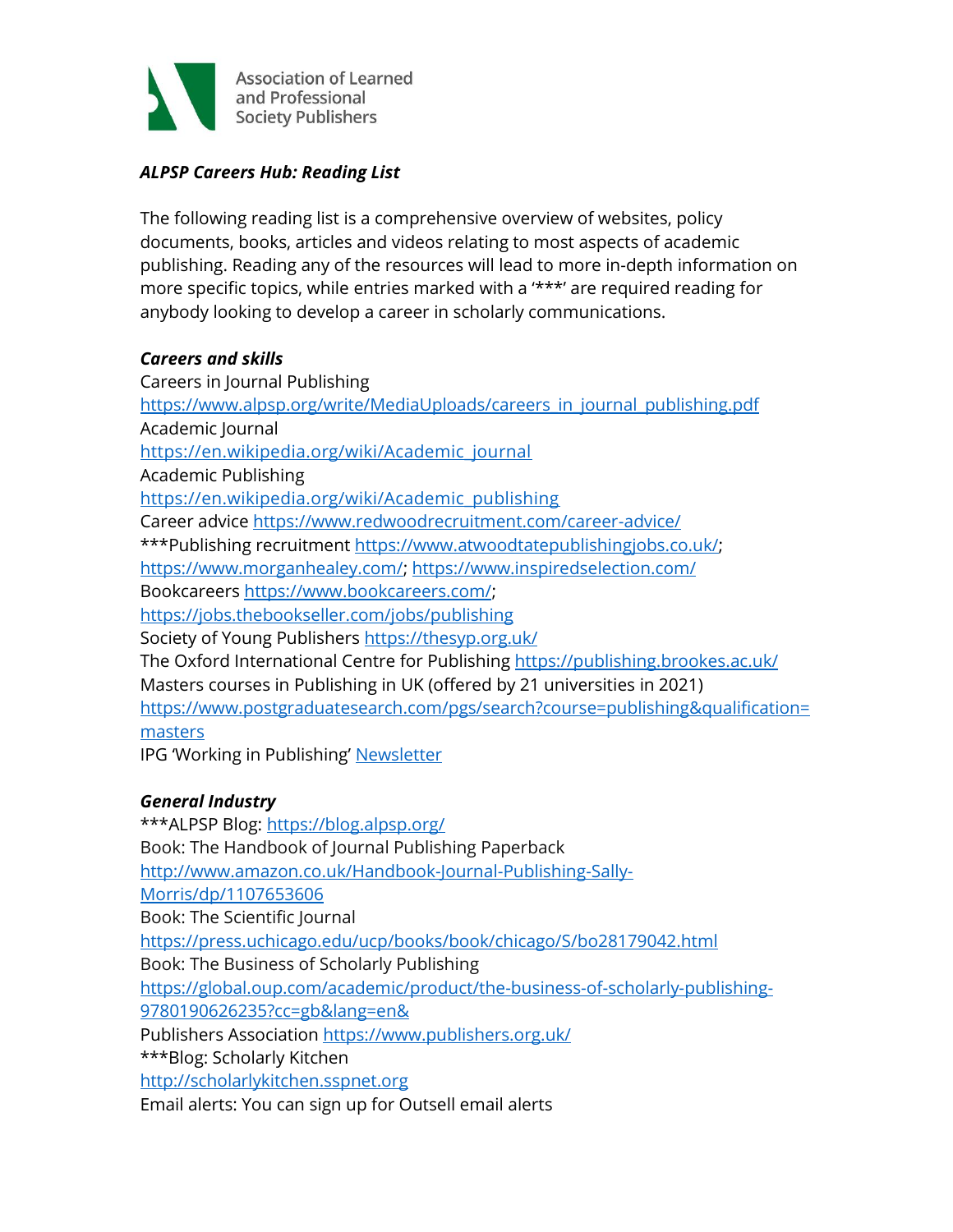

## *ALPSP Careers Hub: Reading List*

The following reading list is a comprehensive overview of websites, policy documents, books, articles and videos relating to most aspects of academic publishing. Reading any of the resources will lead to more in-depth information on more specific topics, while entries marked with a '\*\*\*' are required reading for anybody looking to develop a career in scholarly communications.

### *Careers and skills*

Careers in Journal Publishing [https://www.alpsp.org/write/MediaUploads/careers\\_in\\_journal\\_publishing.pdf](https://www.alpsp.org/write/MediaUploads/careers_in_journal_publishing.pdf) Academic Journal [https://en.wikipedia.org/wiki/Academic\\_journal](https://en.wikipedia.org/wiki/Academic_journal) Academic Publishing [https://en.wikipedia.org/wiki/Academic\\_publishing](https://en.wikipedia.org/wiki/Academic_publishing) Career advice <https://www.redwoodrecruitment.com/career-advice/> \*\*\*Publishing recruitment [https://www.atwoodtatepublishingjobs.co.uk/;](https://www.atwoodtatepublishingjobs.co.uk/) [https://www.morganhealey.com/;](https://www.morganhealey.com/)<https://www.inspiredselection.com/> Bookcareers [https://www.bookcareers.com/;](https://www.bookcareers.com/) <https://jobs.thebookseller.com/jobs/publishing> Society of Young Publishers<https://thesyp.org.uk/> The Oxford International Centre for Publishing<https://publishing.brookes.ac.uk/> Masters courses in Publishing in UK (offered by 21 universities in 2021) [https://www.postgraduatesearch.com/pgs/search?course=publishing&qualification=](https://www.postgraduatesearch.com/pgs/search?course=publishing&qualification=masters) [masters](https://www.postgraduatesearch.com/pgs/search?course=publishing&qualification=masters)

IPG 'Working in Publishing' [Newsletter](https://www.independentpublishersguild.com/IPG/Resources/WIP/Working-in-Publishing.aspx)

## *General Industry*

\*\*\*ALPSP Blog:<https://blog.alpsp.org/> Book: The Handbook of Journal Publishing Paperback [http://www.amazon.co.uk/Handbook-Journal-Publishing-Sally-](http://www.amazon.co.uk/Handbook-Journal-Publishing-Sally-Morris/dp/1107653606)[Morris/dp/1107653606](http://www.amazon.co.uk/Handbook-Journal-Publishing-Sally-Morris/dp/1107653606) Book: The Scientific Journal <https://press.uchicago.edu/ucp/books/book/chicago/S/bo28179042.html> Book: The Business of Scholarly Publishing [https://global.oup.com/academic/product/the-business-of-scholarly-publishing-](https://global.oup.com/academic/product/the-business-of-scholarly-publishing-9780190626235?cc=gb&lang=en&)[9780190626235?cc=gb&lang=en&](https://global.oup.com/academic/product/the-business-of-scholarly-publishing-9780190626235?cc=gb&lang=en&) Publishers Association<https://www.publishers.org.uk/> \*\*\*Blog: Scholarly Kitchen [http://scholarlykitchen.sspnet.org](http://scholarlykitchen.sspnet.org/)

Email alerts: You can sign up for Outsell email alerts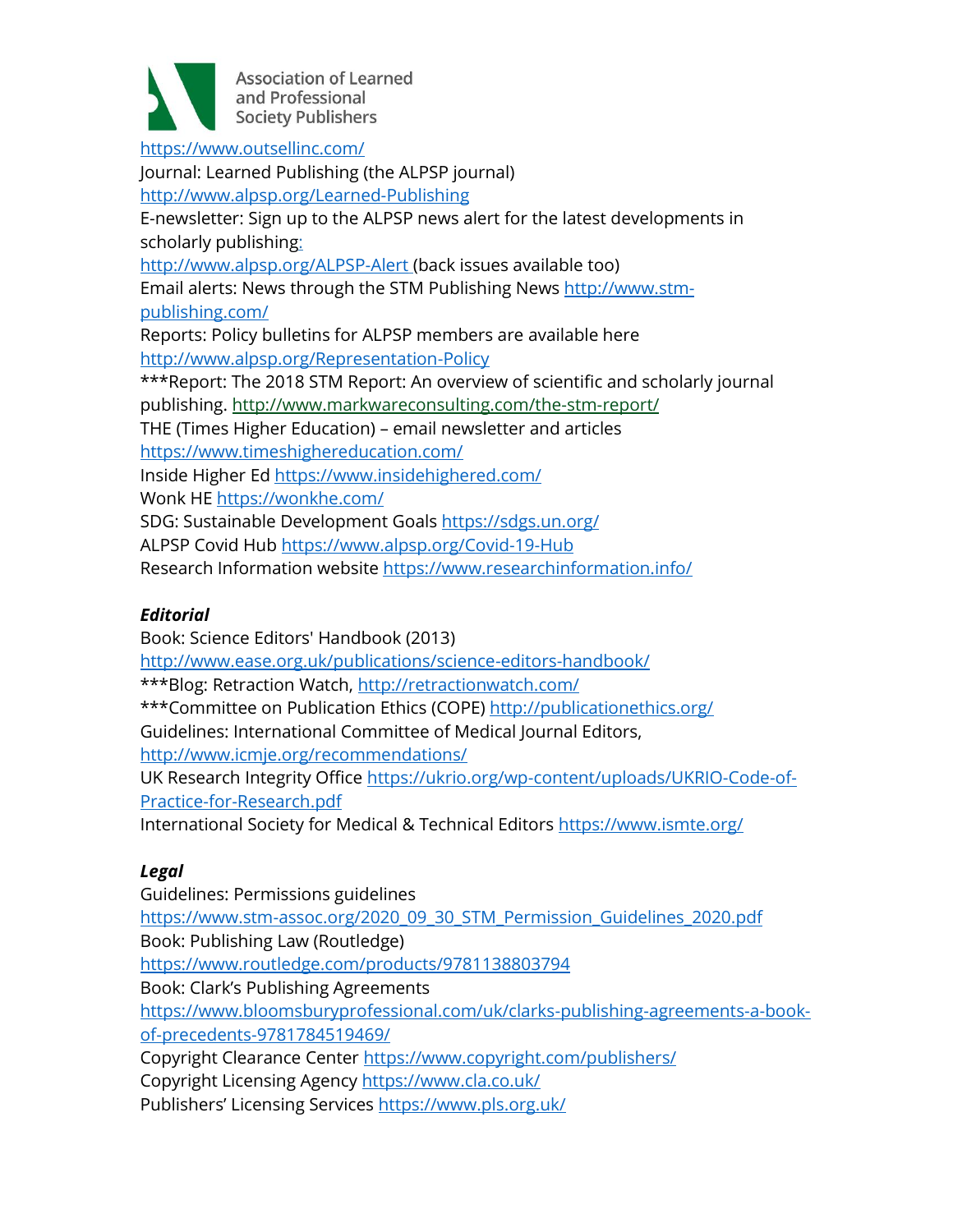

**Association of Learned** and Professional **Society Publishers** 

<https://www.outsellinc.com/> Journal: Learned Publishing (the ALPSP journal) <http://www.alpsp.org/Learned-Publishing> E-newsletter: Sign up to the ALPSP news alert for the latest developments in scholarly publishing: <http://www.alpsp.org/ALPSP-Alert> (back issues available too) Email alerts: News through the STM Publishing News [http://www.stm](http://www.stm-publishing.com/)[publishing.com/](http://www.stm-publishing.com/) Reports: Policy bulletins for ALPSP members are available here <http://www.alpsp.org/Representation-Policy> \*\*\*Report: The 2018 STM Report: An overview of scientific and scholarly journal publishing. <http://www.markwareconsulting.com/the-stm-report/> THE (Times Higher Education) – email newsletter and articles <https://www.timeshighereducation.com/> Inside Higher Ed<https://www.insidehighered.com/> Wonk HE<https://wonkhe.com/> SDG: Sustainable Development Goal[s https://sdgs.un.org/](https://sdgs.un.org/) ALPSP Covid Hub<https://www.alpsp.org/Covid-19-Hub> Research Information website <https://www.researchinformation.info/>

## *Editorial*

Book: Science Editors' Handbook (2013) <http://www.ease.org.uk/publications/science-editors-handbook/> \*\*\*Blog: Retraction Watch,<http://retractionwatch.com/> \*\*\*Committee on Publication Ethics (COPE)<http://publicationethics.org/> Guidelines: International Committee of Medical Journal Editors, <http://www.icmje.org/recommendations/> UK Research Integrity Office [https://ukrio.org/wp-content/uploads/UKRIO-Code-of-](https://ukrio.org/wp-content/uploads/UKRIO-Code-of-Practice-for-Research.pdf)[Practice-for-Research.pdf](https://ukrio.org/wp-content/uploads/UKRIO-Code-of-Practice-for-Research.pdf) International Society for Medical & Technical Editors<https://www.ismte.org/>

# *Legal*

Guidelines: Permissions guidelines [https://www.stm-assoc.org/2020\\_09\\_30\\_STM\\_Permission\\_Guidelines\\_2020.pdf](https://www.stm-assoc.org/2020_09_30_STM_Permission_Guidelines_2020.pdf) Book: Publishing Law (Routledge) <https://www.routledge.com/products/9781138803794> Book: Clark's Publishing Agreements [https://www.bloomsburyprofessional.com/uk/clarks-publishing-agreements-a-book](https://www.bloomsburyprofessional.com/uk/clarks-publishing-agreements-a-book-of-precedents-9781784519469/)[of-precedents-9781784519469/](https://www.bloomsburyprofessional.com/uk/clarks-publishing-agreements-a-book-of-precedents-9781784519469/) Copyright Clearance Center<https://www.copyright.com/publishers/> Copyright Licensing Agency<https://www.cla.co.uk/> Publishers' Licensing Services<https://www.pls.org.uk/>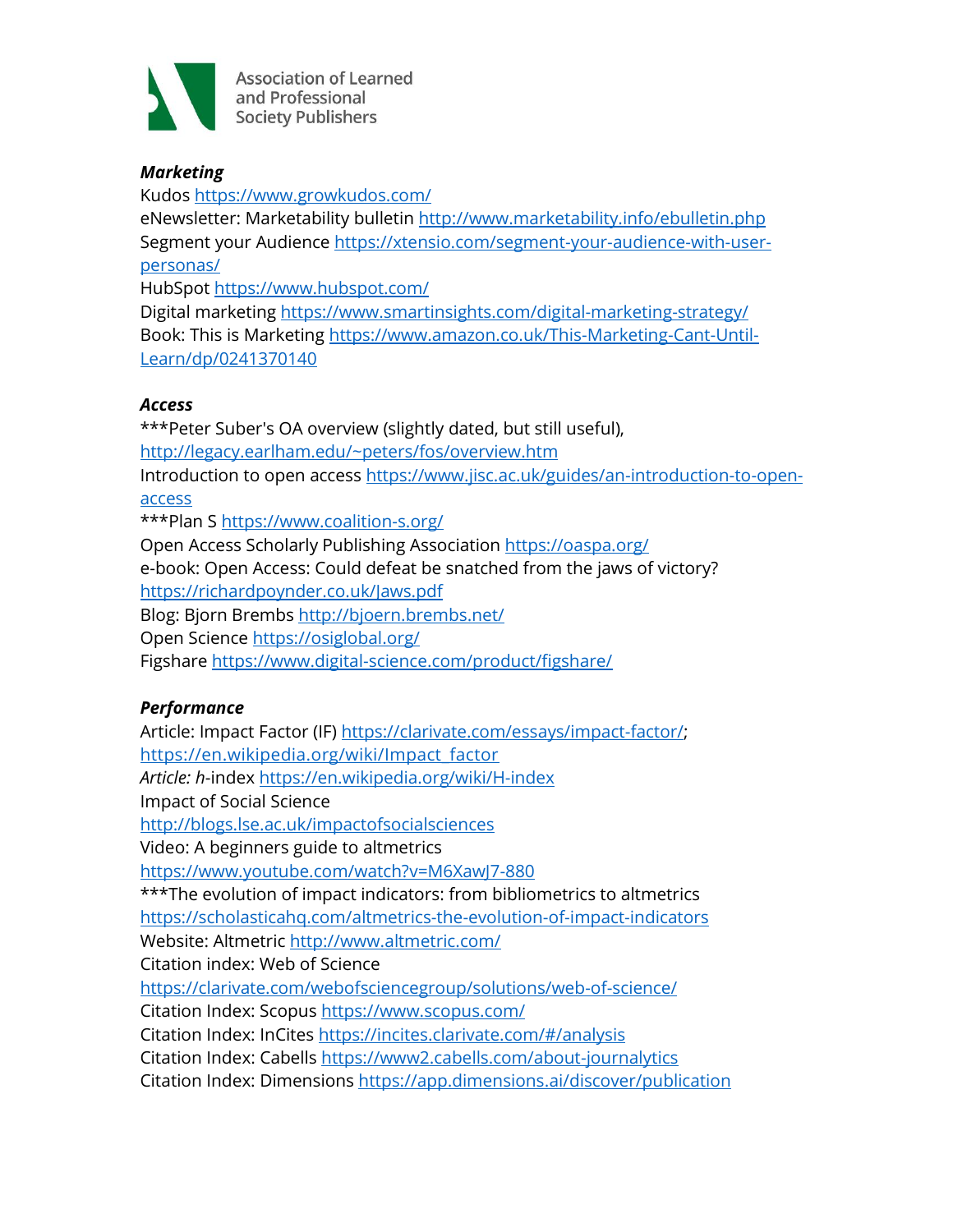

**Association of Learned** and Professional **Society Publishers** 

## *Marketing*

Kudos <https://www.growkudos.com/> eNewsletter: Marketability bulletin <http://www.marketability.info/ebulletin.php> Segment your Audience [https://xtensio.com/segment-your-audience-with-user](https://xtensio.com/segment-your-audience-with-user-personas/)[personas/](https://xtensio.com/segment-your-audience-with-user-personas/)

HubSpot<https://www.hubspot.com/>

Digital marketing<https://www.smartinsights.com/digital-marketing-strategy/> Book: This is Marketing [https://www.amazon.co.uk/This-Marketing-Cant-Until-](https://www.amazon.co.uk/This-Marketing-Cant-Until-Learn/dp/0241370140)[Learn/dp/0241370140](https://www.amazon.co.uk/This-Marketing-Cant-Until-Learn/dp/0241370140)

### *Access*

\*\*\*Peter Suber's OA overview (slightly dated, but still useful), <http://legacy.earlham.edu/~peters/fos/overview.htm> Introduction to open access [https://www.jisc.ac.uk/guides/an-introduction-to-open](https://www.jisc.ac.uk/guides/an-introduction-to-open-access)[access](https://www.jisc.ac.uk/guides/an-introduction-to-open-access) \*\*\*Plan S<https://www.coalition-s.org/> Open Access Scholarly Publishing Association<https://oaspa.org/> e-book: Open Access: Could defeat be snatched from the jaws of victory? <https://richardpoynder.co.uk/Jaws.pdf>

Blog: Bjorn Brembs<http://bjoern.brembs.net/>

Open Science<https://osiglobal.org/>

Figshare<https://www.digital-science.com/product/figshare/>

## *Performance*

Article: Impact Factor (IF) [https://clarivate.com/essays/impact-factor/;](https://clarivate.com/essays/impact-factor/) [https://en.wikipedia.org/wiki/Impact\\_factor](https://en.wikipedia.org/wiki/Impact_factor) *Article: h*-index <https://en.wikipedia.org/wiki/H-index> Impact of Social Science <http://blogs.lse.ac.uk/impactofsocialsciences> Video: A beginners guide to altmetrics <https://www.youtube.com/watch?v=M6XawJ7-880> \*\*\*The evolution of impact indicators: from bibliometrics to altmetrics <https://scholasticahq.com/altmetrics-the-evolution-of-impact-indicators> Website: Altmetric<http://www.altmetric.com/> Citation index: Web of Science <https://clarivate.com/webofsciencegroup/solutions/web-of-science/> Citation Index: Scopus<https://www.scopus.com/> Citation Index: InCites [https://incites.clarivate.com/#/analysis](https://incites.clarivate.com/) Citation Index: Cabells<https://www2.cabells.com/about-journalytics> Citation Index: Dimensions<https://app.dimensions.ai/discover/publication>